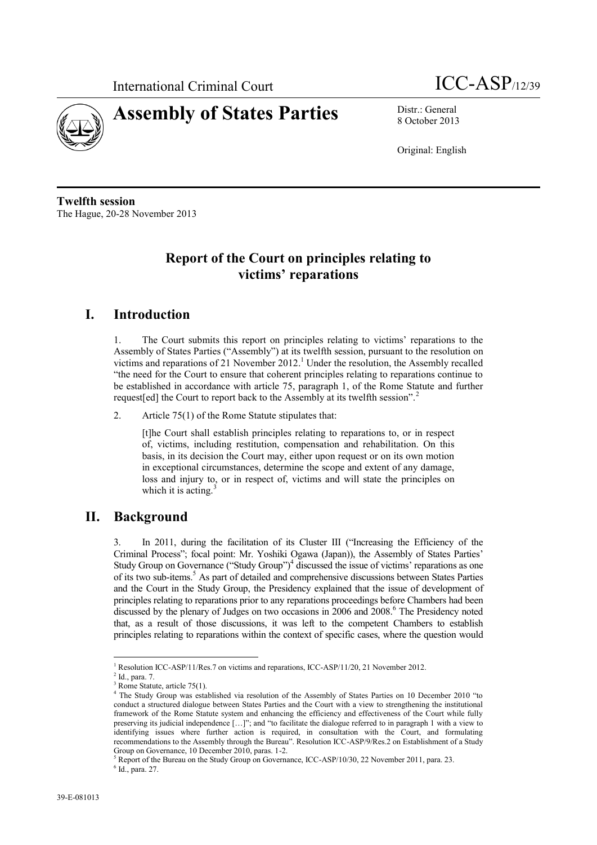



8 October 2013

Original: English

**Twelfth session** The Hague, 20-28 November 2013

# **Report of the Court on principles relating to victims' reparations**

### **I. Introduction**

1. The Court submits this report on principles relating to victims' reparations to the Assembly of States Parties ("Assembly") at its twelfth session, pursuant to the resolution on victims and reparations of 21 November 2012. <sup>1</sup> Under the resolution, the Assembly recalled "the need for the Court to ensure that coherent principles relating to reparations continue to be established in accordance with article 75, paragraph 1, of the Rome Statute and further request [ed] the Court to report back to the Assembly at its twelfth session".<sup>2</sup>

2. Article 75(1) of the Rome Statute stipulates that:

[t]he Court shall establish principles relating to reparations to, or in respect of, victims, including restitution, compensation and rehabilitation. On this basis, in its decision the Court may, either upon request or on its own motion in exceptional circumstances, determine the scope and extent of any damage, loss and injury to, or in respect of, victims and will state the principles on which it is acting. $\frac{3}{2}$ 

### **II. Background**

3. In 2011, during the facilitation of its Cluster III ("Increasing the Efficiency of the Criminal Process"; focal point: Mr. Yoshiki Ogawa (Japan)), the Assembly of States Parties' Study Group on Governance ("Study Group")<sup>4</sup> discussed the issue of victims' reparations as one of its two sub-items. <sup>5</sup> As part of detailed and comprehensive discussions between States Parties and the Court in the Study Group, the Presidency explained that the issue of development of principles relating to reparations prior to any reparations proceedings before Chambers had been discussed by the plenary of Judges on two occasions in 2006 and  $2008<sup>6</sup>$ . The Presidency noted that, as a result of those discussions, it was left to the competent Chambers to establish principles relating to reparations within the context of specific cases, where the question would

<sup>1</sup> <sup>1</sup> Resolution ICC-ASP/11/Res.7 on victims and reparations, ICC-ASP/11/20, 21 November 2012.

 $<sup>2</sup>$  Id., para. 7.</sup>

Rome Statute, article 75(1). <sup>4</sup> The Study Group was established via resolution of the Assembly of States Parties on 10 December 2010 "to conduct a structured dialogue between States Parties and the Court with a view to strengthening the institutional framework of the Rome Statute system and enhancing the efficiency and effectiveness of the Court while fully preserving its judicial independence […]"; and "to facilitate the dialogue referred to in paragraph 1 with a view to identifying issues where further action is required, in consultation with the Court, and formulating recommendations to the Assembly through the Bureau". Resolution ICC-ASP/9/Res.2 on Establishment of a Study Group on Governance, 10 December 2010, paras. 1-2.

<sup>5</sup> Report of the Bureau on the Study Group on Governance, ICC-ASP/10/30, 22 November 2011, para. 23.

 $6$  Id., para. 27.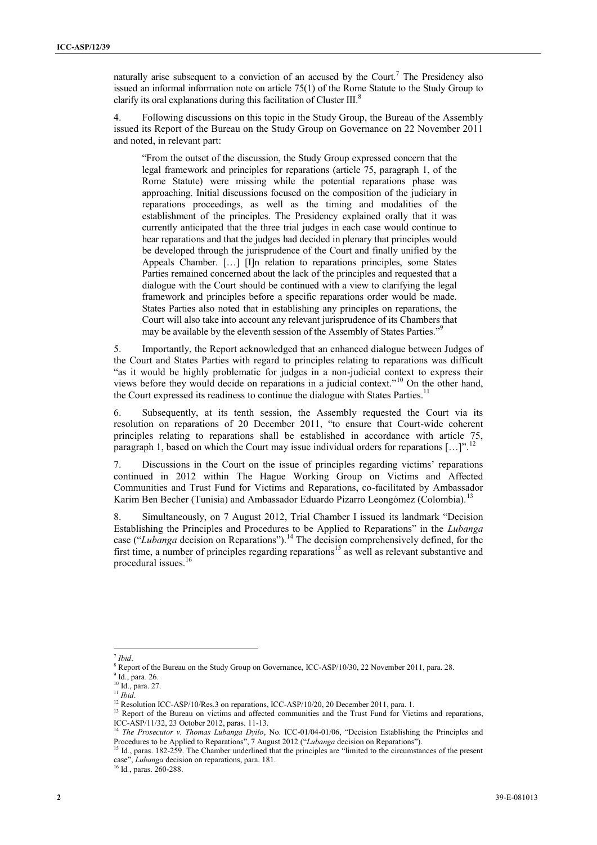naturally arise subsequent to a conviction of an accused by the Court.<sup>7</sup> The Presidency also issued an informal information note on article 75(1) of the Rome Statute to the Study Group to clarify its oral explanations during this facilitation of Cluster III.<sup>8</sup>

4. Following discussions on this topic in the Study Group, the Bureau of the Assembly issued its Report of the Bureau on the Study Group on Governance on 22 November 2011 and noted, in relevant part:

"From the outset of the discussion, the Study Group expressed concern that the legal framework and principles for reparations (article 75, paragraph 1, of the Rome Statute) were missing while the potential reparations phase was approaching. Initial discussions focused on the composition of the judiciary in reparations proceedings, as well as the timing and modalities of the establishment of the principles. The Presidency explained orally that it was currently anticipated that the three trial judges in each case would continue to hear reparations and that the judges had decided in plenary that principles would be developed through the jurisprudence of the Court and finally unified by the Appeals Chamber. […] [I]n relation to reparations principles, some States Parties remained concerned about the lack of the principles and requested that a dialogue with the Court should be continued with a view to clarifying the legal framework and principles before a specific reparations order would be made. States Parties also noted that in establishing any principles on reparations, the Court will also take into account any relevant jurisprudence of its Chambers that may be available by the eleventh session of the Assembly of States Parties."<sup>9</sup>

5. Importantly, the Report acknowledged that an enhanced dialogue between Judges of the Court and States Parties with regard to principles relating to reparations was difficult "as it would be highly problematic for judges in a non-judicial context to express their views before they would decide on reparations in a judicial context."<sup>10</sup> On the other hand, the Court expressed its readiness to continue the dialogue with States Parties.<sup>11</sup>

6. Subsequently, at its tenth session, the Assembly requested the Court via its resolution on reparations of 20 December 2011, "to ensure that Court-wide coherent principles relating to reparations shall be established in accordance with article 75, paragraph 1, based on which the Court may issue individual orders for reparations  $[\,\dots]$ ".

7. Discussions in the Court on the issue of principles regarding victims' reparations continued in 2012 within The Hague Working Group on Victims and Affected Communities and Trust Fund for Victims and Reparations, co-facilitated by Ambassador Karim Ben Becher (Tunisia) and Ambassador Eduardo Pizarro Leongómez (Colombia).<sup>13</sup>

8. Simultaneously, on 7 August 2012, Trial Chamber I issued its landmark "Decision Establishing the Principles and Procedures to be Applied to Reparations" in the *Lubanga*  case ("*Lubanga* decision on Reparations").<sup>14</sup> The decision comprehensively defined, for the first time, a number of principles regarding reparations<sup>15</sup> as well as relevant substantive and procedural issues.<sup>16</sup>

 7 *Ibid*.

<sup>&</sup>lt;sup>8</sup> Report of the Bureau on the Study Group on Governance, ICC-ASP/10/30, 22 November 2011, para. 28.

<sup>9</sup> Id., para. 26.

<sup>10</sup> Id., para. 27.

 $11$  *Ibid.* 

<sup>&</sup>lt;sup>12</sup> Resolution ICC-ASP/10/Res.3 on reparations, ICC-ASP/10/20, 20 December 2011, para. 1.

<sup>&</sup>lt;sup>13</sup> Report of the Bureau on victims and affected communities and the Trust Fund for Victims and reparations, ICC-ASP/11/32, 23 October 2012, paras. 11-13.

<sup>&</sup>lt;sup>14</sup> *The Prosecutor v. Thomas Lubanga Dyilo*, No. ICC-01/04-01/06, "Decision Establishing the Principles and Procedures to be Applied to Reparations", 7 August 2012 ("*Lubanga* decision on Reparations").

<sup>&</sup>lt;sup>15</sup> Id., paras. 182-259. The Chamber underlined that the principles are "limited to the circumstances of the present case", *Lubanga* decision on reparations, para. 181.

<sup>16</sup> Id*.*, paras. 260-288.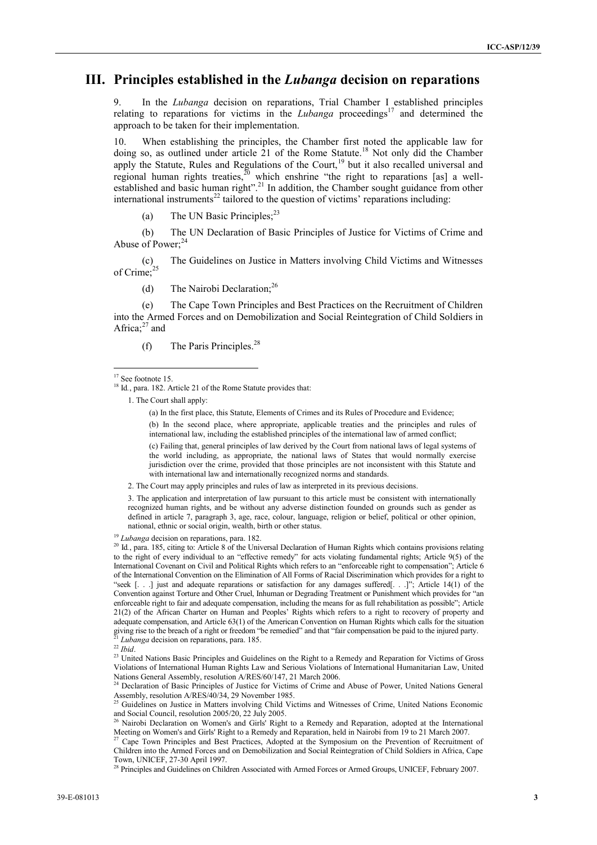#### **III. Principles established in the** *Lubanga* **decision on reparations**

9. In the *Lubanga* decision on reparations, Trial Chamber I established principles relating to reparations for victims in the *Lubanga* proceedings<sup>17</sup> and determined the approach to be taken for their implementation.

10. When establishing the principles, the Chamber first noted the applicable law for doing so, as outlined under article 21 of the Rome Statute.<sup>18</sup> Not only did the Chamber apply the Statute, Rules and Regulations of the Court,<sup>19</sup> but it also recalled universal and regional human rights treaties,  $\frac{30}{8}$  which enshrine "the right to reparations [as] a wellestablished and basic human right".<sup>21</sup> In addition, the Chamber sought guidance from other international instruments<sup>22</sup> tailored to the question of victims' reparations including:

(a) The UN Basic Principles; $^{23}$ 

(b) The UN Declaration of Basic Principles of Justice for Victims of Crime and Abuse of Power:<sup>24</sup>

The Guidelines on Justice in Matters involving Child Victims and Witnesses  $(c)$ <br>of Crime;<sup>25</sup>

(d) The Nairobi Declaration;<sup>26</sup>

(e) The Cape Town Principles and Best Practices on the Recruitment of Children into the Armed Forces and on Demobilization and Social Reintegration of Child Soldiers in Africa; $27$  and

(f) The Paris Principles.<sup>28</sup>

 $\overline{a}$ 

(a) In the first place, this Statute, Elements of Crimes and its Rules of Procedure and Evidence;

(b) In the second place, where appropriate, applicable treaties and the principles and rules of international law, including the established principles of the international law of armed conflict;

(c) Failing that, general principles of law derived by the Court from national laws of legal systems of the world including, as appropriate, the national laws of States that would normally exercise jurisdiction over the crime, provided that those principles are not inconsistent with this Statute and with international law and internationally recognized norms and standards.

2. The Court may apply principles and rules of law as interpreted in its previous decisions.

3. The application and interpretation of law pursuant to this article must be consistent with internationally recognized human rights, and be without any adverse distinction founded on grounds such as gender as defined in article 7, paragraph 3, age, race, colour, language, religion or belief, political or other opinion, national, ethnic or social origin, wealth, birth or other status.

<sup>19</sup> *Lubanga* decision on reparations, para. 182.

<sup>20</sup> Id., para. 185, citing to: Article 8 of the Universal Declaration of Human Rights which contains provisions relating to the right of every individual to an "effective remedy" for acts violating fundamental rights; Article 9(5) of the International Covenant on Civil and Political Rights which refers to an "enforceable right to compensation"; Article 6 of the International Convention on the Elimination of All Forms of Racial Discrimination which provides for a right to "seek [. . .] just and adequate reparations or satisfaction for any damages suffered[. . .]"; Article 14(1) of the Convention against Torture and Other Cruel, Inhuman or Degrading Treatment or Punishment which provides for "an enforceable right to fair and adequate compensation, including the means for as full rehabilitation as possible"; Article 21(2) of the African Charter on Human and Peoples' Rights which refers to a right to recovery of property and adequate compensation, and Article 63(1) of the American Convention on Human Rights which calls for the situation giving rise to the breach of a right or freedom "be remedied" and that "fair compensation be paid to the injured party. <sup>21</sup> *Lubanga* decision on reparations, para. 185.

<sup>23</sup> United Nations Basic Principles and Guidelines on the Right to a Remedy and Reparation for Victims of Gross Violations of International Human Rights Law and Serious Violations of International Humanitarian Law, United Nations General Assembly, resolution A/RES/60/147, 21 March 2006.

<sup>24</sup> Declaration of Basic Principles of Justice for Victims of Crime and Abuse of Power, United Nations General Assembly, resolution A/RES/40/34, 29 November 1985.<br>
<sup>25</sup> Guidalismus, March 2007.

<sup>25</sup> Guidelines on Justice in Matters involving Child Victims and Witnesses of Crime, United Nations Economic and Social Council, resolution 2005/20, 22 July 2005.

 $2<sup>27</sup>$  Cape Town Principles and Best Practices, Adopted at the Symposium on the Prevention of Recruitment of Children into the Armed Forces and on Demobilization and Social Reintegration of Child Soldiers in Africa, Cape Town, UNICEF, 27-30 April 1997.

<sup>28</sup> Principles and Guidelines on Children Associated with Armed Forces or Armed Groups, UNICEF, February 2007.

<sup>&</sup>lt;sup>17</sup> See footnote 15.

<sup>&</sup>lt;sup>18</sup> Id., para. 182. Article 21 of the Rome Statute provides that:

<sup>1.</sup> The Court shall apply:

<sup>22</sup> *Ibid*.

<sup>26</sup> Nairobi Declaration on Women's and Girls' Right to a Remedy and Reparation, adopted at the International Meeting on Women's and Girls' Right to a Remedy and Reparation, held in Nairobi from 19 to 21 March 2007.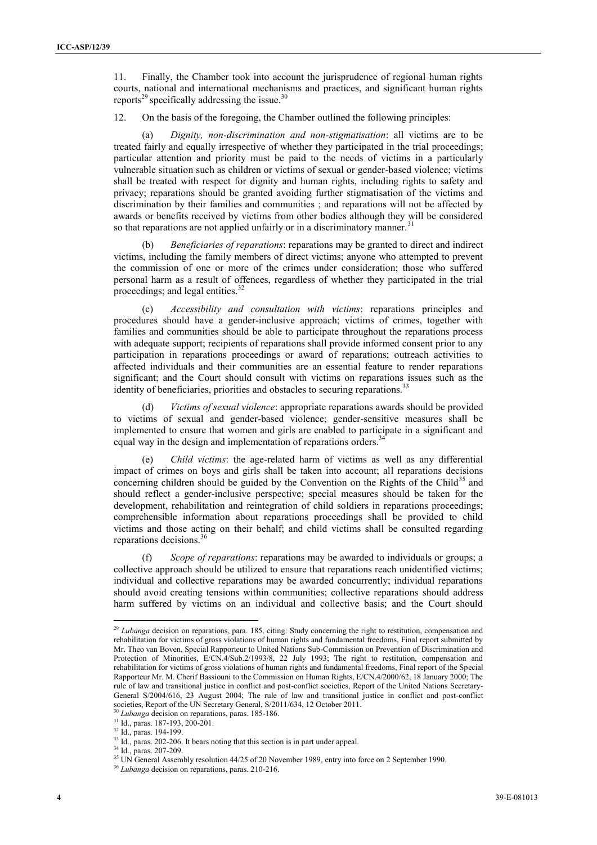11. Finally, the Chamber took into account the jurisprudence of regional human rights courts, national and international mechanisms and practices, and significant human rights reports<sup>29</sup> specifically addressing the issue.<sup>30</sup>

12. On the basis of the foregoing, the Chamber outlined the following principles:

(a) *Dignity, non-discrimination and non-stigmatisation*: all victims are to be treated fairly and equally irrespective of whether they participated in the trial proceedings; particular attention and priority must be paid to the needs of victims in a particularly vulnerable situation such as children or victims of sexual or gender-based violence; victims shall be treated with respect for dignity and human rights, including rights to safety and privacy; reparations should be granted avoiding further stigmatisation of the victims and discrimination by their families and communities ; and reparations will not be affected by awards or benefits received by victims from other bodies although they will be considered so that reparations are not applied unfairly or in a discriminatory manner.<sup>31</sup>

(b) *Beneficiaries of reparations*: reparations may be granted to direct and indirect victims, including the family members of direct victims; anyone who attempted to prevent the commission of one or more of the crimes under consideration; those who suffered personal harm as a result of offences, regardless of whether they participated in the trial proceedings; and legal entities.<sup>32</sup>

Accessibility and consultation with victims: reparations principles and procedures should have a gender-inclusive approach; victims of crimes, together with families and communities should be able to participate throughout the reparations process with adequate support; recipients of reparations shall provide informed consent prior to any participation in reparations proceedings or award of reparations; outreach activities to affected individuals and their communities are an essential feature to render reparations significant; and the Court should consult with victims on reparations issues such as the identity of beneficiaries, priorities and obstacles to securing reparations.<sup>33</sup>

(d) *Victims of sexual violence*: appropriate reparations awards should be provided to victims of sexual and gender-based violence; gender-sensitive measures shall be implemented to ensure that women and girls are enabled to participate in a significant and equal way in the design and implementation of reparations orders.<sup>3</sup>

(e) *Child victims*: the age-related harm of victims as well as any differential impact of crimes on boys and girls shall be taken into account; all reparations decisions concerning children should be guided by the Convention on the Rights of the Child<sup>35</sup> and should reflect a gender-inclusive perspective; special measures should be taken for the development, rehabilitation and reintegration of child soldiers in reparations proceedings; comprehensible information about reparations proceedings shall be provided to child victims and those acting on their behalf; and child victims shall be consulted regarding reparations decisions.<sup>36</sup>

(f) *Scope of reparations*: reparations may be awarded to individuals or groups; a collective approach should be utilized to ensure that reparations reach unidentified victims; individual and collective reparations may be awarded concurrently; individual reparations should avoid creating tensions within communities; collective reparations should address harm suffered by victims on an individual and collective basis; and the Court should

<sup>30</sup> *Lubanga* decision on reparations, paras. 185-186. <sup>31</sup> Id., paras. 187-193, 200-201.

 $32$  Id., paras. 194-199.

1

<sup>&</sup>lt;sup>29</sup> *Lubanga* decision on reparations, para. 185, citing: Study concerning the right to restitution, compensation and rehabilitation for victims of gross violations of human rights and fundamental freedoms, Final report submitted by Mr. Theo van Boven, Special Rapporteur to United Nations Sub-Commission on Prevention of Discrimination and Protection of Minorities, E/CN.4/Sub.2/1993/8, 22 July 1993; The right to restitution, compensation and rehabilitation for victims of gross violations of human rights and fundamental freedoms, Final report of the Special Rapporteur Mr. M. Cherif Bassiouni to the Commission on Human Rights, E/CN.4/2000/62, 18 January 2000; The rule of law and transitional justice in conflict and post-conflict societies, Report of the United Nations Secretary-General S/2004/616, 23 August 2004; The rule of law and transitional justice in conflict and post-conflict societies, Report of the UN Secretary General, S/2011/634, 12 October 2011.

 $33$  Id., paras.  $202-206$ . It bears noting that this section is in part under appeal.

<sup>34</sup> Id., paras. 207-209.

<sup>&</sup>lt;sup>35</sup> UN General Assembly resolution 44/25 of 20 November 1989, entry into force on 2 September 1990.

<sup>36</sup> *Lubanga* decision on reparations, paras. 210-216.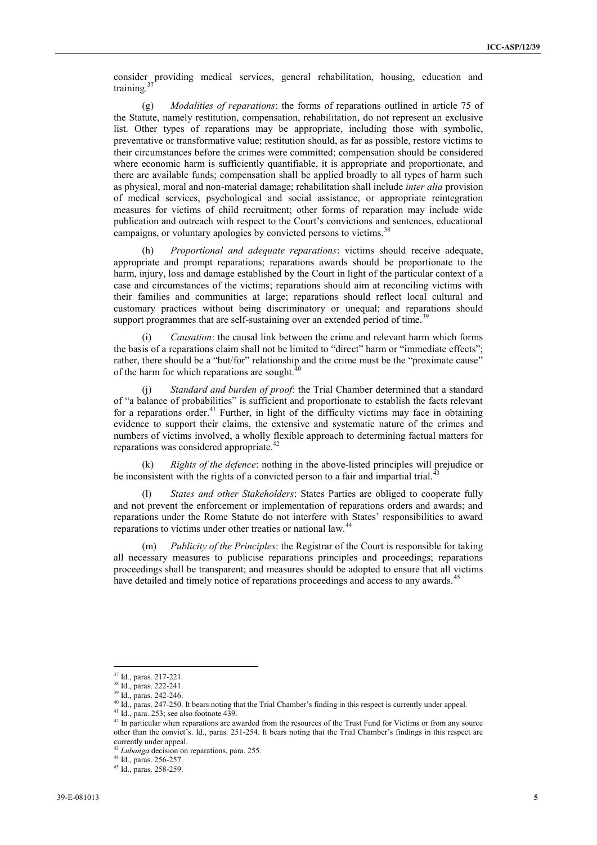consider providing medical services, general rehabilitation, housing, education and training.<sup>37</sup>

(g) *Modalities of reparations*: the forms of reparations outlined in article 75 of the Statute, namely restitution, compensation, rehabilitation, do not represent an exclusive list. Other types of reparations may be appropriate, including those with symbolic, preventative or transformative value; restitution should, as far as possible, restore victims to their circumstances before the crimes were committed; compensation should be considered where economic harm is sufficiently quantifiable, it is appropriate and proportionate, and there are available funds; compensation shall be applied broadly to all types of harm such as physical, moral and non-material damage; rehabilitation shall include *inter alia* provision of medical services, psychological and social assistance, or appropriate reintegration measures for victims of child recruitment; other forms of reparation may include wide publication and outreach with respect to the Court's convictions and sentences, educational campaigns, or voluntary apologies by convicted persons to victims.<sup>38</sup>

(h) *Proportional and adequate reparations*: victims should receive adequate, appropriate and prompt reparations; reparations awards should be proportionate to the harm, injury, loss and damage established by the Court in light of the particular context of a case and circumstances of the victims; reparations should aim at reconciling victims with their families and communities at large; reparations should reflect local cultural and customary practices without being discriminatory or unequal; and reparations should support programmes that are self-sustaining over an extended period of time.<sup>39</sup>

(i) *Causation*: the causal link between the crime and relevant harm which forms the basis of a reparations claim shall not be limited to "direct" harm or "immediate effects"; rather, there should be a "but/for" relationship and the crime must be the "proximate cause" of the harm for which reparations are sought. $40$ 

(j) *Standard and burden of proof*: the Trial Chamber determined that a standard of "a balance of probabilities" is sufficient and proportionate to establish the facts relevant for a reparations order.<sup>41</sup> Further, in light of the difficulty victims may face in obtaining evidence to support their claims, the extensive and systematic nature of the crimes and numbers of victims involved, a wholly flexible approach to determining factual matters for reparations was considered appropriate.<sup>42</sup>

(k) *Rights of the defence*: nothing in the above-listed principles will prejudice or be inconsistent with the rights of a convicted person to a fair and impartial trial.<sup>4</sup>

(l) *States and other Stakeholders*: States Parties are obliged to cooperate fully and not prevent the enforcement or implementation of reparations orders and awards; and reparations under the Rome Statute do not interfere with States' responsibilities to award reparations to victims under other treaties or national law.<sup>44</sup>

(m) *Publicity of the Principles*: the Registrar of the Court is responsible for taking all necessary measures to publicise reparations principles and proceedings; reparations proceedings shall be transparent; and measures should be adopted to ensure that all victims have detailed and timely notice of reparations proceedings and access to any awards.<sup>4</sup>

<sup>1</sup> <sup>37</sup> Id., paras. 217-221.

<sup>38</sup> Id., paras. 222-241.

<sup>39</sup> Id., paras. 242-246.

<sup>40</sup> Id., paras. 247-250. It bears noting that the Trial Chamber's finding in this respect is currently under appeal.

 $41$  Id., para. 253; see also footnote 439.

<sup>&</sup>lt;sup>42</sup> In particular when reparations are awarded from the resources of the Trust Fund for Victims or from any source other than the convict's. Id., paras. 251-254. It bears noting that the Trial Chamber's findings in this respect are currently under appeal.

<sup>43</sup> *Lubanga* decision on reparations, para. 255.

<sup>44</sup> Id., paras. 256-257.

<sup>45</sup> Id., paras. 258-259.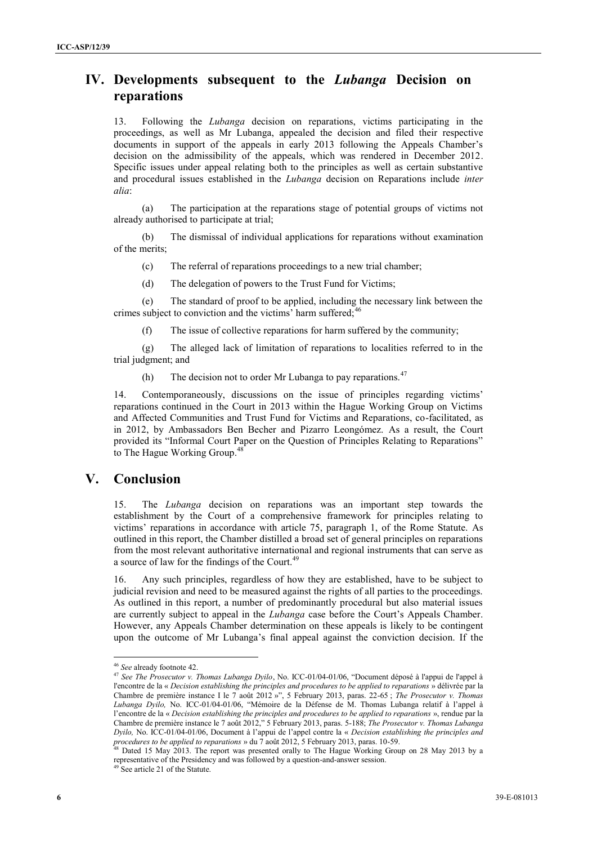## **IV. Developments subsequent to the** *Lubanga* **Decision on reparations**

13. Following the *Lubanga* decision on reparations, victims participating in the proceedings, as well as Mr Lubanga, appealed the decision and filed their respective documents in support of the appeals in early 2013 following the Appeals Chamber's decision on the admissibility of the appeals, which was rendered in December 2012. Specific issues under appeal relating both to the principles as well as certain substantive and procedural issues established in the *Lubanga* decision on Reparations include *inter alia*:

(a) The participation at the reparations stage of potential groups of victims not already authorised to participate at trial;

(b) The dismissal of individual applications for reparations without examination of the merits;

(c) The referral of reparations proceedings to a new trial chamber;

(d) The delegation of powers to the Trust Fund for Victims;

(e) The standard of proof to be applied, including the necessary link between the crimes subject to conviction and the victims' harm suffered;<sup>46</sup>

(f) The issue of collective reparations for harm suffered by the community;

(g) The alleged lack of limitation of reparations to localities referred to in the trial judgment; and

(h) The decision not to order Mr Lubanga to pay reparations.<sup>47</sup>

14. Contemporaneously, discussions on the issue of principles regarding victims' reparations continued in the Court in 2013 within the Hague Working Group on Victims and Affected Communities and Trust Fund for Victims and Reparations, co-facilitated, as in 2012, by Ambassadors Ben Becher and Pizarro Leongómez. As a result, the Court provided its "Informal Court Paper on the Question of Principles Relating to Reparations" to The Hague Working Group. 48

#### **V. Conclusion**

15. The *Lubanga* decision on reparations was an important step towards the establishment by the Court of a comprehensive framework for principles relating to victims' reparations in accordance with article 75, paragraph 1, of the Rome Statute. As outlined in this report, the Chamber distilled a broad set of general principles on reparations from the most relevant authoritative international and regional instruments that can serve as a source of law for the findings of the Court.<sup>49</sup>

16. Any such principles, regardless of how they are established, have to be subject to judicial revision and need to be measured against the rights of all parties to the proceedings. As outlined in this report, a number of predominantly procedural but also material issues are currently subject to appeal in the *Lubanga* case before the Court's Appeals Chamber. However, any Appeals Chamber determination on these appeals is likely to be contingent upon the outcome of Mr Lubanga's final appeal against the conviction decision. If the

1

<sup>46</sup> *See* already footnote 42.

<sup>47</sup> *See The Prosecutor v. Thomas Lubanga Dyilo*, No. ICC-01/04-01/06, "Document déposé à l'appui de l'appel à l'encontre de la « *Decision establishing the principles and procedures to be applied to reparations* » délivrée par la Chambre de première instance I le 7 août 2012 »", 5 February 2013, paras. 22-65 ; *The Prosecutor v. Thomas Lubanga Dyilo,* No. ICC-01/04-01/06, "Mémoire de la Défense de M. Thomas Lubanga relatif à l'appel à l'encontre de la « *Decision establishing the principles and procedures to be applied to reparations* », rendue par la Chambre de première instance le 7 août 2012," 5 February 2013, paras. 5-188; *The Prosecutor v. Thomas Lubanga Dyilo,* No. ICC-01/04-01/06, Document à l'appui de l'appel contre la « *Decision establishing the principles and procedures to be applied to reparations* » du 7 août 2012, 5 February 2013, paras. 10-59.

<sup>&</sup>lt;sup>48</sup> Dated 15 May 2013. The report was presented orally to The Hague Working Group on 28 May 2013 by a representative of the Presidency and was followed by a question-and-answer session.

<sup>&</sup>lt;sup>49</sup> See article 21 of the Statute.